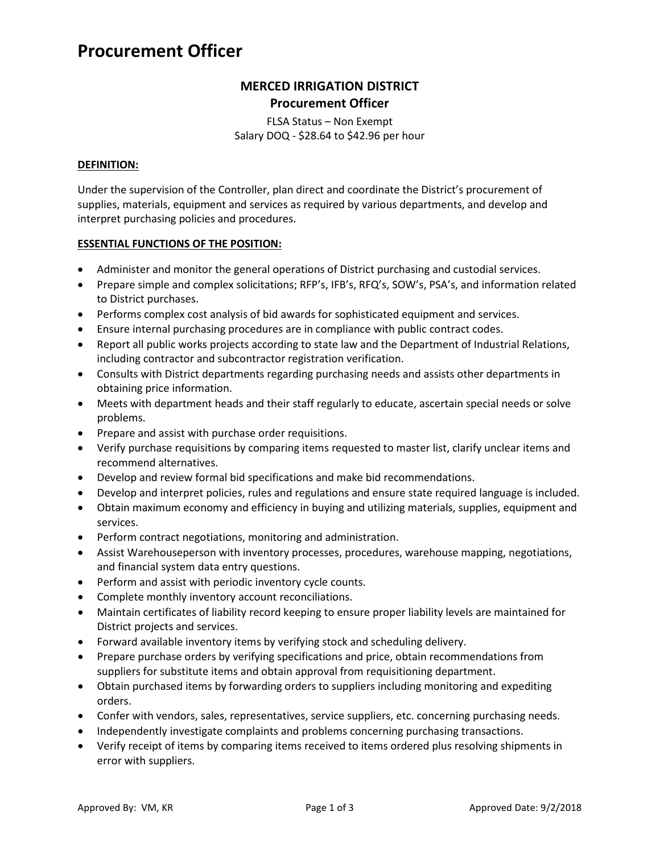# **Procurement Officer**

# **MERCED IRRIGATION DISTRICT Procurement Officer**

FLSA Status – Non Exempt Salary DOQ - \$28.64 to \$42.96 per hour

# **DEFINITION:**

Under the supervision of the Controller, plan direct and coordinate the District's procurement of supplies, materials, equipment and services as required by various departments, and develop and interpret purchasing policies and procedures.

# **ESSENTIAL FUNCTIONS OF THE POSITION:**

- Administer and monitor the general operations of District purchasing and custodial services.
- Prepare simple and complex solicitations; RFP's, IFB's, RFQ's, SOW's, PSA's, and information related to District purchases.
- Performs complex cost analysis of bid awards for sophisticated equipment and services.
- Ensure internal purchasing procedures are in compliance with public contract codes.
- Report all public works projects according to state law and the Department of Industrial Relations, including contractor and subcontractor registration verification.
- Consults with District departments regarding purchasing needs and assists other departments in obtaining price information.
- Meets with department heads and their staff regularly to educate, ascertain special needs or solve problems.
- Prepare and assist with purchase order requisitions.
- Verify purchase requisitions by comparing items requested to master list, clarify unclear items and recommend alternatives.
- Develop and review formal bid specifications and make bid recommendations.
- Develop and interpret policies, rules and regulations and ensure state required language is included.
- Obtain maximum economy and efficiency in buying and utilizing materials, supplies, equipment and services.
- Perform contract negotiations, monitoring and administration.
- Assist Warehouseperson with inventory processes, procedures, warehouse mapping, negotiations, and financial system data entry questions.
- Perform and assist with periodic inventory cycle counts.
- Complete monthly inventory account reconciliations.
- Maintain certificates of liability record keeping to ensure proper liability levels are maintained for District projects and services.
- Forward available inventory items by verifying stock and scheduling delivery.
- Prepare purchase orders by verifying specifications and price, obtain recommendations from suppliers for substitute items and obtain approval from requisitioning department.
- Obtain purchased items by forwarding orders to suppliers including monitoring and expediting orders.
- Confer with vendors, sales, representatives, service suppliers, etc. concerning purchasing needs.
- Independently investigate complaints and problems concerning purchasing transactions.
- Verify receipt of items by comparing items received to items ordered plus resolving shipments in error with suppliers.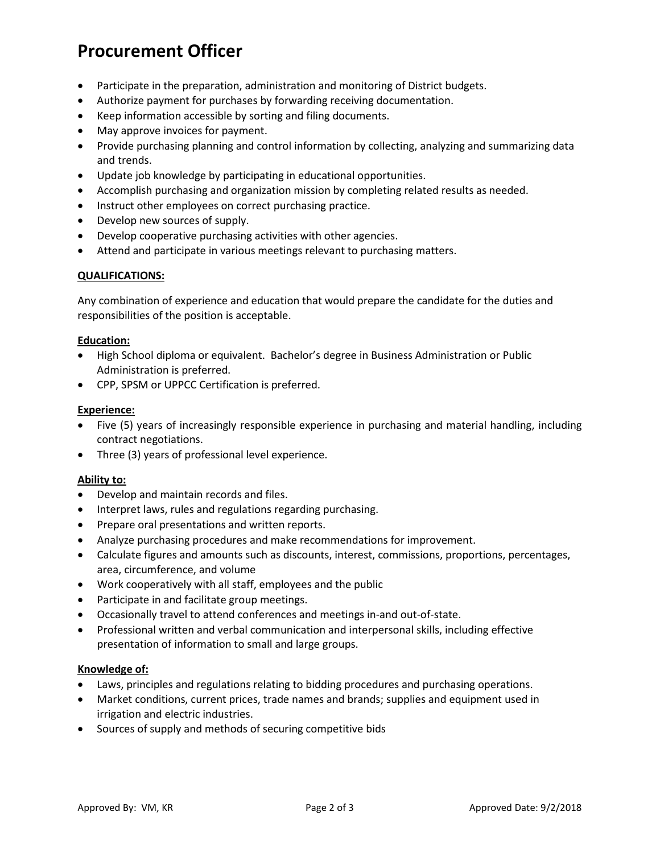# **Procurement Officer**

- Participate in the preparation, administration and monitoring of District budgets.
- Authorize payment for purchases by forwarding receiving documentation.
- Keep information accessible by sorting and filing documents.
- May approve invoices for payment.
- Provide purchasing planning and control information by collecting, analyzing and summarizing data and trends.
- Update job knowledge by participating in educational opportunities.
- Accomplish purchasing and organization mission by completing related results as needed.
- Instruct other employees on correct purchasing practice.
- Develop new sources of supply.
- Develop cooperative purchasing activities with other agencies.
- Attend and participate in various meetings relevant to purchasing matters.

# **QUALIFICATIONS:**

Any combination of experience and education that would prepare the candidate for the duties and responsibilities of the position is acceptable.

#### **Education:**

- High School diploma or equivalent. Bachelor's degree in Business Administration or Public Administration is preferred.
- CPP, SPSM or UPPCC Certification is preferred.

#### **Experience:**

- Five (5) years of increasingly responsible experience in purchasing and material handling, including contract negotiations.
- Three (3) years of professional level experience.

#### **Ability to:**

- Develop and maintain records and files.
- Interpret laws, rules and regulations regarding purchasing.
- Prepare oral presentations and written reports.
- Analyze purchasing procedures and make recommendations for improvement.
- Calculate figures and amounts such as discounts, interest, commissions, proportions, percentages, area, circumference, and volume
- Work cooperatively with all staff, employees and the public
- Participate in and facilitate group meetings.
- Occasionally travel to attend conferences and meetings in-and out-of-state.
- Professional written and verbal communication and interpersonal skills, including effective presentation of information to small and large groups.

#### **Knowledge of:**

- Laws, principles and regulations relating to bidding procedures and purchasing operations.
- Market conditions, current prices, trade names and brands; supplies and equipment used in irrigation and electric industries.
- Sources of supply and methods of securing competitive bids